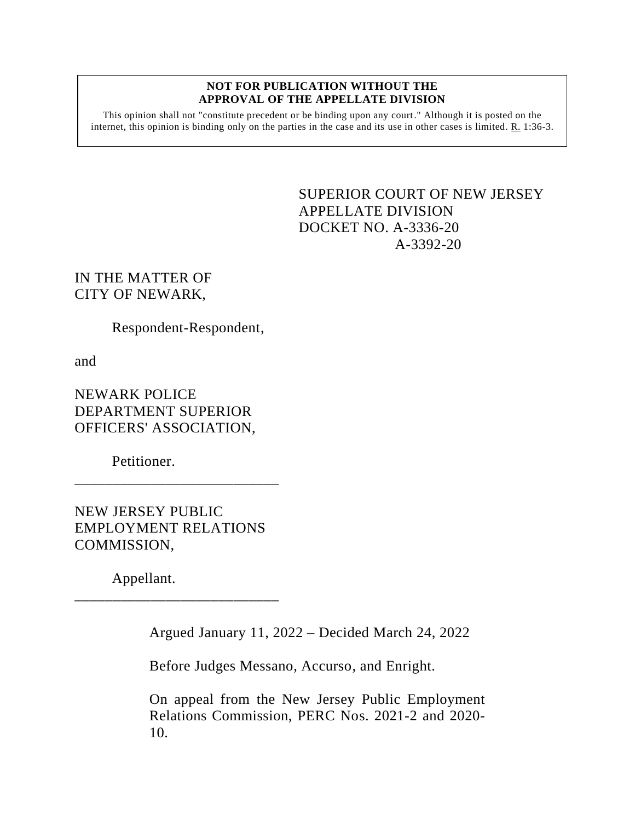#### **NOT FOR PUBLICATION WITHOUT THE APPROVAL OF THE APPELLATE DIVISION**

This opinion shall not "constitute precedent or be binding upon any court." Although it is posted on the internet, this opinion is binding only on the parties in the case and its use in other cases is limited. R. 1:36-3.

> <span id="page-0-0"></span>SUPERIOR COURT OF NEW JERSEY APPELLATE DIVISION DOCKET NO. A-3336-20 A-3392-20

IN THE MATTER OF CITY OF NEWARK,

Respondent-Respondent,

and

NEWARK POLICE DEPARTMENT SUPERIOR OFFICERS' ASSOCIATION,

Petitioner.

NEW JERSEY PUBLIC EMPLOYMENT RELATIONS COMMISSION,

\_\_\_\_\_\_\_\_\_\_\_\_\_\_\_\_\_\_\_\_\_\_\_\_\_\_\_

\_\_\_\_\_\_\_\_\_\_\_\_\_\_\_\_\_\_\_\_\_\_\_\_\_\_\_

Appellant.

Argued January 11, 2022 – Decided March 24, 2022

Before Judges Messano, Accurso, and Enright.

On appeal from the New Jersey Public Employment Relations Commission, PERC Nos. 2021-2 and 2020- 10.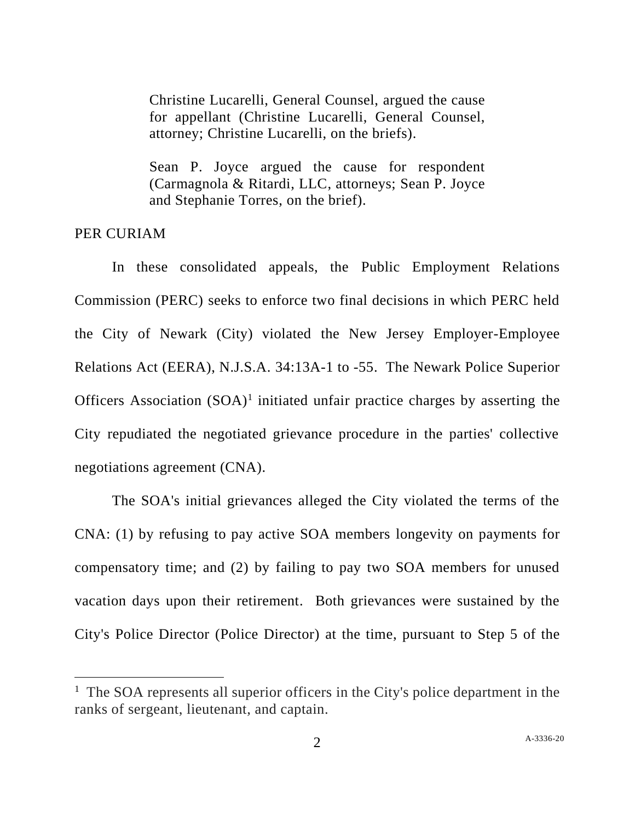Christine Lucarelli, General Counsel, argued the cause for appellant (Christine Lucarelli, General Counsel, attorney; Christine Lucarelli, on the briefs).

Sean P. Joyce argued the cause for respondent (Carmagnola & Ritardi, LLC, attorneys; Sean P. Joyce and Stephanie Torres, on the brief).

# PER CURIAM

In these consolidated appeals, the Public Employment Relations Commission (PERC) seeks to enforce two final decisions in which PERC held the City of Newark (City) violated the New Jersey Employer-Employee Relations Act (EERA), N.J.S.A. 34:13A-1 to -55. The Newark Police Superior Officers Association  $(SOA)^1$  initiated unfair practice charges by asserting the City repudiated the negotiated grievance procedure in the parties' collective negotiations agreement (CNA).

The SOA's initial grievances alleged the City violated the terms of the CNA: (1) by refusing to pay active SOA members longevity on payments for compensatory time; and (2) by failing to pay two SOA members for unused vacation days upon their retirement. Both grievances were sustained by the City's Police Director (Police Director) at the time, pursuant to Step 5 of the

<sup>&</sup>lt;sup>1</sup> The SOA represents all superior officers in the City's police department in the ranks of sergeant, lieutenant, and captain.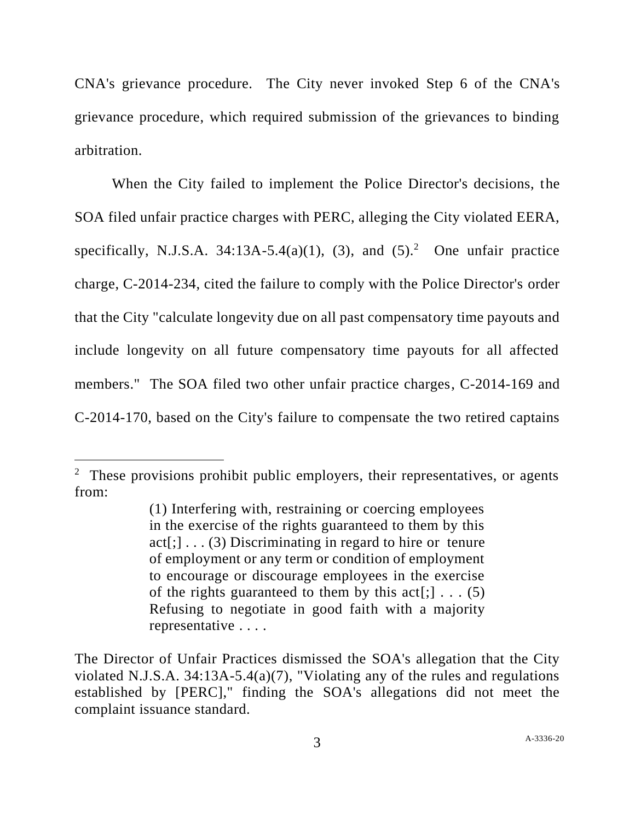CNA's grievance procedure. The City never invoked Step 6 of the CNA's grievance procedure, which required submission of the grievances to binding arbitration.

When the City failed to implement the Police Director's decisions, the SOA filed unfair practice charges with PERC, alleging the City violated EERA, specifically, N.J.S.A. 34:13A-5.4(a)(1), (3), and  $(5)^2$ . One unfair practice charge, C-2014-234, cited the failure to comply with the Police Director's order that the City "calculate longevity due on all past compensatory time payouts and include longevity on all future compensatory time payouts for all affected members." The SOA filed two other unfair practice charges, C-2014-169 and C-2014-170, based on the City's failure to compensate the two retired captains

 $2$  These provisions prohibit public employers, their representatives, or agents from:

<sup>(1)</sup> Interfering with, restraining or coercing employees in the exercise of the rights guaranteed to them by this  $act[:,] \ldots (3)$  Discriminating in regard to hire or tenure of employment or any term or condition of employment to encourage or discourage employees in the exercise of the rights guaranteed to them by this  $act[$ ;  $\ldots$  (5) Refusing to negotiate in good faith with a majority representative . . . .

The Director of Unfair Practices dismissed the SOA's allegation that the City violated N.J.S.A. 34:13A-5.4(a)(7), "Violating any of the rules and regulations established by [PERC]," finding the SOA's allegations did not meet the complaint issuance standard.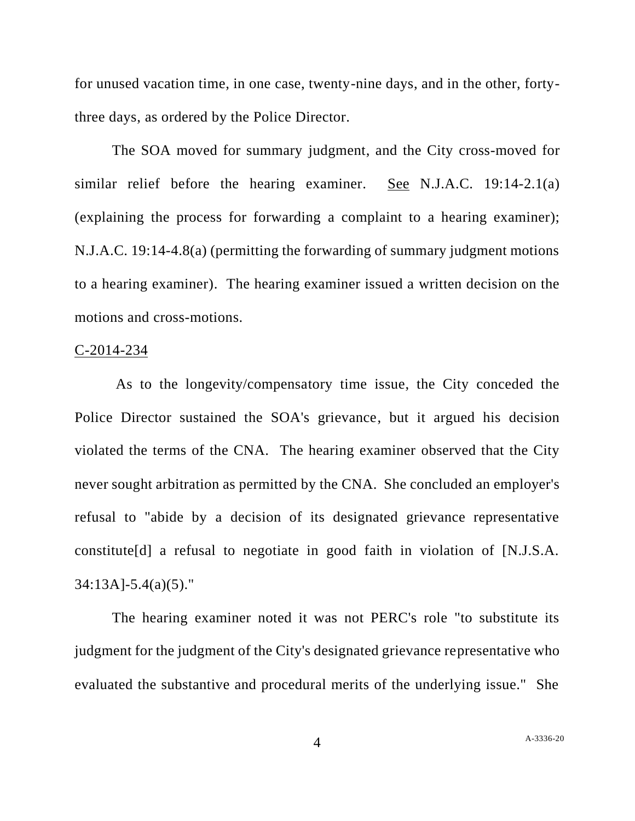for unused vacation time, in one case, twenty-nine days, and in the other, fortythree days, as ordered by the Police Director.

The SOA moved for summary judgment, and the City cross-moved for similar relief before the hearing examiner. See N.J.A.C. 19:14-2.1(a) (explaining the process for forwarding a complaint to a hearing examiner); N.J.A.C. 19:14-4.8(a) (permitting the forwarding of summary judgment motions to a hearing examiner). The hearing examiner issued a written decision on the motions and cross-motions.

### C-2014-234

As to the longevity/compensatory time issue, the City conceded the Police Director sustained the SOA's grievance, but it argued his decision violated the terms of the CNA. The hearing examiner observed that the City never sought arbitration as permitted by the CNA. She concluded an employer's refusal to "abide by a decision of its designated grievance representative constitute[d] a refusal to negotiate in good faith in violation of [N.J.S.A. 34:13A]-5.4(a)(5)."

The hearing examiner noted it was not PERC's role "to substitute its judgment for the judgment of the City's designated grievance representative who evaluated the substantive and procedural merits of the underlying issue." She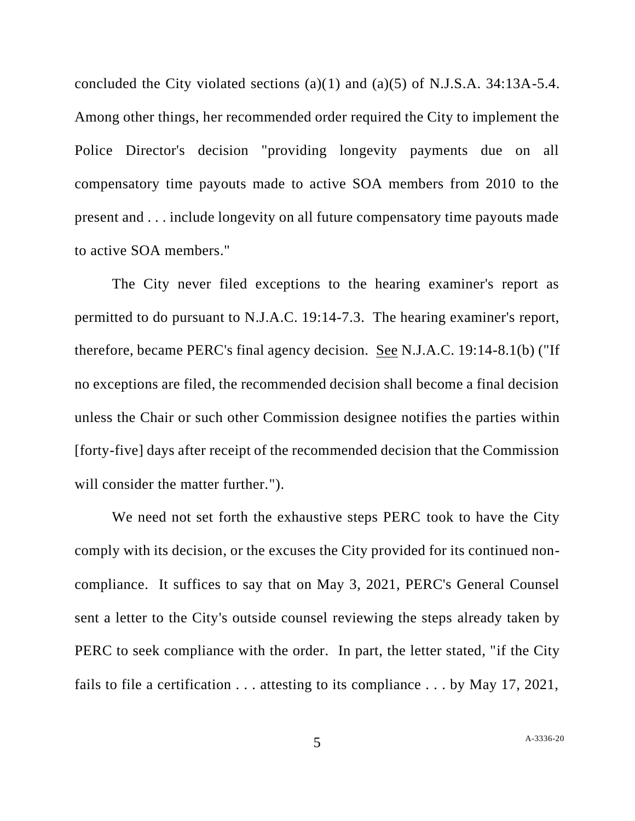concluded the City violated sections (a)(1) and (a)(5) of N.J.S.A. 34:13A-5.4. Among other things, her recommended order required the City to implement the Police Director's decision "providing longevity payments due on all compensatory time payouts made to active SOA members from 2010 to the present and . . . include longevity on all future compensatory time payouts made to active SOA members."

The City never filed exceptions to the hearing examiner's report as permitted to do pursuant to N.J.A.C. 19:14-7.3. The hearing examiner's report, therefore, became PERC's final agency decision. See N.J.A.C. 19:14-8.1(b) ("If no exceptions are filed, the recommended decision shall become a final decision unless the Chair or such other Commission designee notifies the parties within [forty-five] days after receipt of the recommended decision that the Commission will consider the matter further.").

We need not set forth the exhaustive steps PERC took to have the City comply with its decision, or the excuses the City provided for its continued noncompliance. It suffices to say that on May 3, 2021, PERC's General Counsel sent a letter to the City's outside counsel reviewing the steps already taken by PERC to seek compliance with the order. In part, the letter stated, "if the City fails to file a certification . . . attesting to its compliance . . . by May 17, 2021,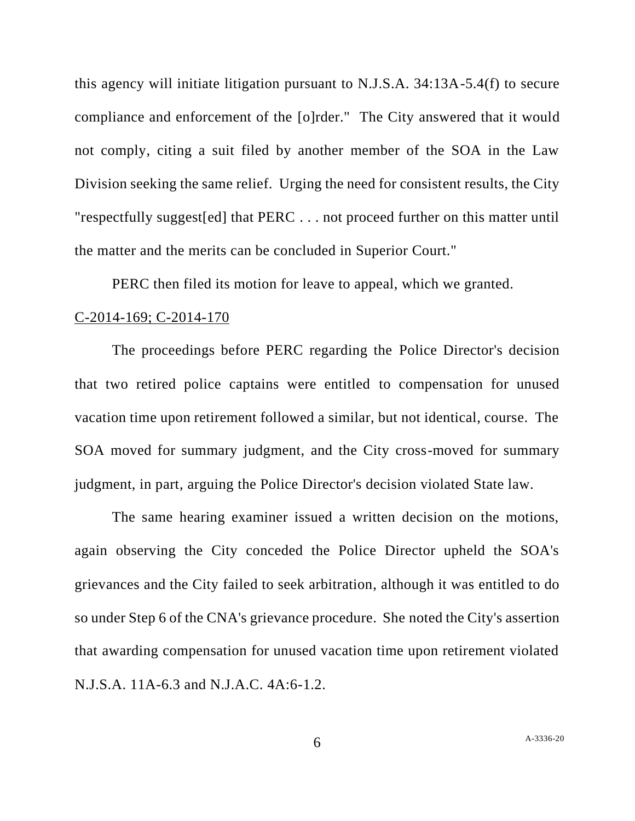this agency will initiate litigation pursuant to N.J.S.A. 34:13A-5.4(f) to secure compliance and enforcement of the [o]rder." The City answered that it would not comply, citing a suit filed by another member of the SOA in the Law Division seeking the same relief. Urging the need for consistent results, the City "respectfully suggest[ed] that PERC . . . not proceed further on this matter until the matter and the merits can be concluded in Superior Court."

PERC then filed its motion for leave to appeal, which we granted.

### C-2014-169; C-2014-170

The proceedings before PERC regarding the Police Director's decision that two retired police captains were entitled to compensation for unused vacation time upon retirement followed a similar, but not identical, course. The SOA moved for summary judgment, and the City cross-moved for summary judgment, in part, arguing the Police Director's decision violated State law.

The same hearing examiner issued a written decision on the motions, again observing the City conceded the Police Director upheld the SOA's grievances and the City failed to seek arbitration, although it was entitled to do so under Step 6 of the CNA's grievance procedure. She noted the City's assertion that awarding compensation for unused vacation time upon retirement violated N.J.S.A. 11A-6.3 and N.J.A.C. 4A:6-1.2.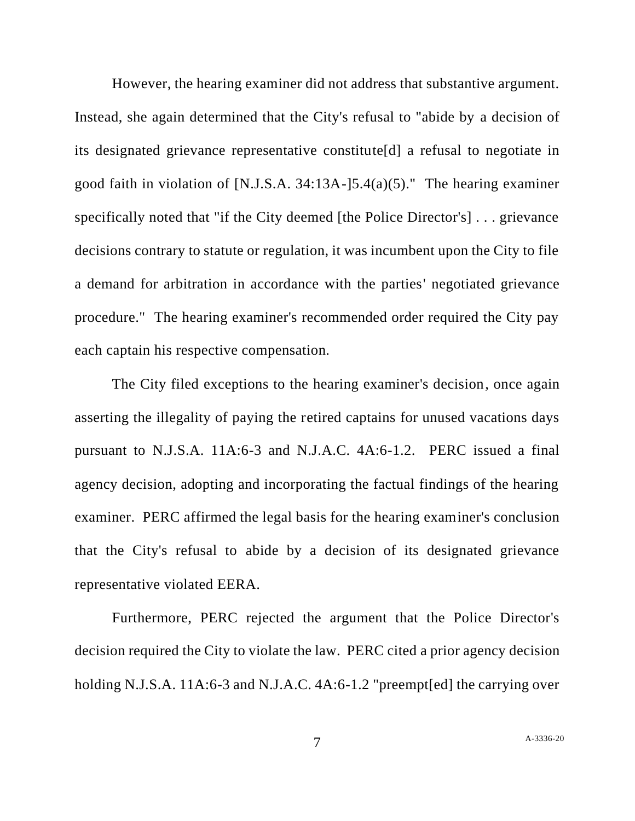However, the hearing examiner did not address that substantive argument. Instead, she again determined that the City's refusal to "abide by a decision of its designated grievance representative constitute[d] a refusal to negotiate in good faith in violation of [N.J.S.A. 34:13A-]5.4(a)(5)." The hearing examiner specifically noted that "if the City deemed [the Police Director's] . . . grievance decisions contrary to statute or regulation, it was incumbent upon the City to file a demand for arbitration in accordance with the parties' negotiated grievance procedure." The hearing examiner's recommended order required the City pay each captain his respective compensation.

The City filed exceptions to the hearing examiner's decision, once again asserting the illegality of paying the retired captains for unused vacations days pursuant to N.J.S.A. 11A:6-3 and N.J.A.C. 4A:6-1.2. PERC issued a final agency decision, adopting and incorporating the factual findings of the hearing examiner. PERC affirmed the legal basis for the hearing examiner's conclusion that the City's refusal to abide by a decision of its designated grievance representative violated EERA.

Furthermore, PERC rejected the argument that the Police Director's decision required the City to violate the law. PERC cited a prior agency decision holding N.J.S.A. 11A:6-3 and N.J.A.C. 4A:6-1.2 "preempt[ed] the carrying over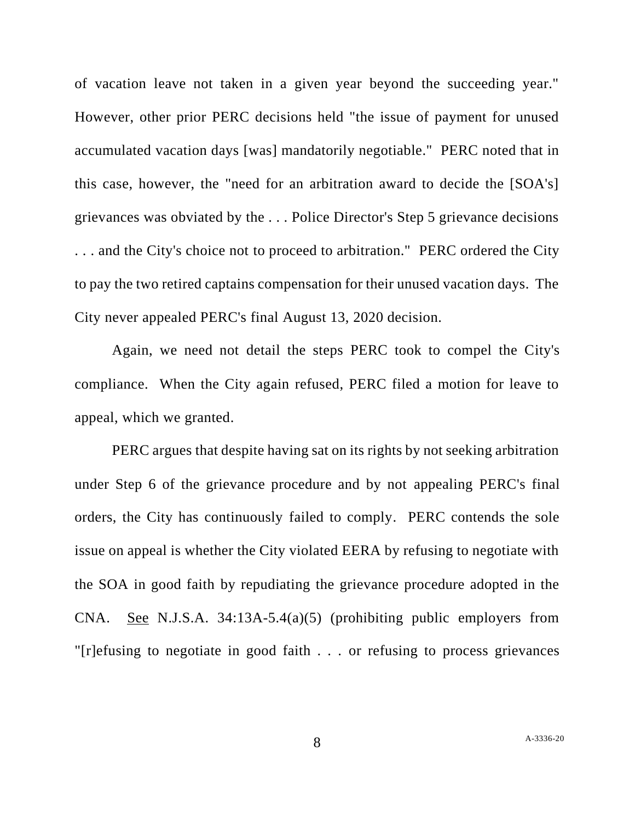of vacation leave not taken in a given year beyond the succeeding year." However, other prior PERC decisions held "the issue of payment for unused accumulated vacation days [was] mandatorily negotiable." PERC noted that in this case, however, the "need for an arbitration award to decide the [SOA's] grievances was obviated by the . . . Police Director's Step 5 grievance decisions . . . and the City's choice not to proceed to arbitration." PERC ordered the City to pay the two retired captains compensation for their unused vacation days. The City never appealed PERC's final August 13, 2020 decision.

Again, we need not detail the steps PERC took to compel the City's compliance. When the City again refused, PERC filed a motion for leave to appeal, which we granted.

PERC argues that despite having sat on its rights by not seeking arbitration under Step 6 of the grievance procedure and by not appealing PERC's final orders, the City has continuously failed to comply. PERC contends the sole issue on appeal is whether the City violated EERA by refusing to negotiate with the SOA in good faith by repudiating the grievance procedure adopted in the CNA. See N.J.S.A. 34:13A-5.4(a)(5) (prohibiting public employers from "[r]efusing to negotiate in good faith . . . or refusing to process grievances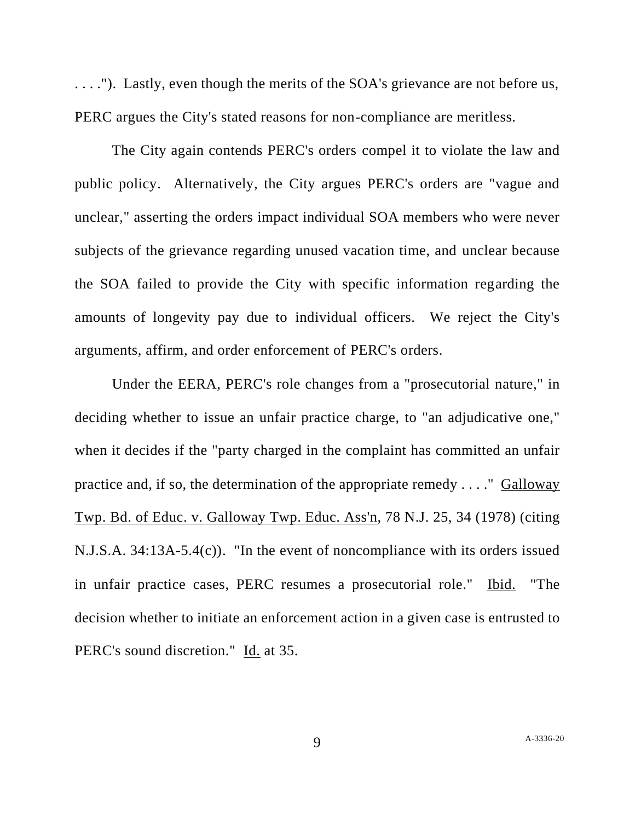. . . ."). Lastly, even though the merits of the SOA's grievance are not before us, PERC argues the City's stated reasons for non-compliance are meritless.

The City again contends PERC's orders compel it to violate the law and public policy. Alternatively, the City argues PERC's orders are "vague and unclear," asserting the orders impact individual SOA members who were never subjects of the grievance regarding unused vacation time, and unclear because the SOA failed to provide the City with specific information regarding the amounts of longevity pay due to individual officers. We reject the City's arguments, affirm, and order enforcement of PERC's orders.

Under the EERA, PERC's role changes from a "prosecutorial nature," in deciding whether to issue an unfair practice charge, to "an adjudicative one," when it decides if the "party charged in the complaint has committed an unfair practice and, if so, the determination of the appropriate remedy . . . ." Galloway Twp. Bd. of Educ. v. Galloway Twp. Educ. Ass'n, 78 N.J. 25, 34 (1978) (citing N.J.S.A. 34:13A-5.4(c)). "In the event of noncompliance with its orders issued in unfair practice cases, PERC resumes a prosecutorial role." Ibid. "The decision whether to initiate an enforcement action in a given case is entrusted to PERC's sound discretion." Id. at 35.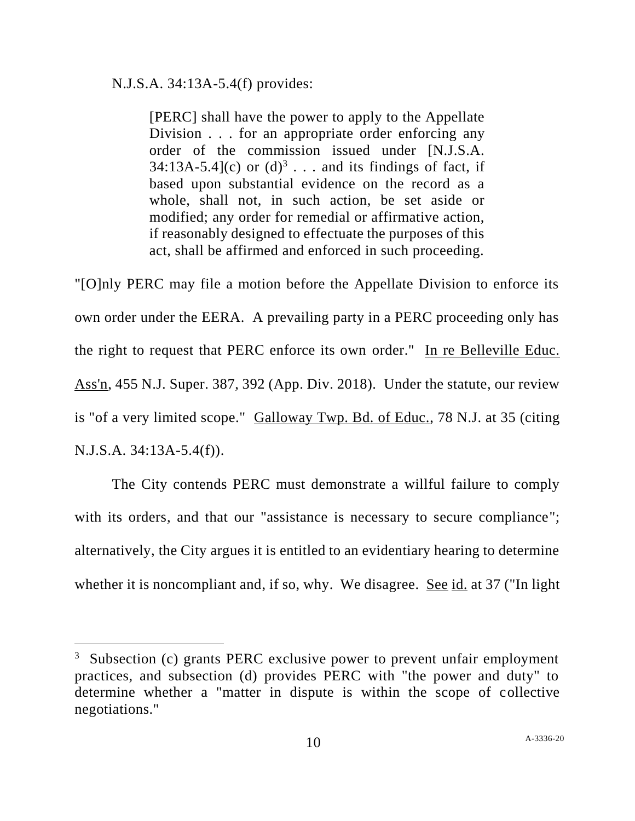# N.J.S.A. 34:13A-5.4(f) provides:

[PERC] shall have the power to apply to the Appellate Division . . . for an appropriate order enforcing any order of the commission issued under [N.J.S.A.  $34:13A-5.4$ ](c) or  $(d)^3$ ... and its findings of fact, if based upon substantial evidence on the record as a whole, shall not, in such action, be set aside or modified; any order for remedial or affirmative action, if reasonably designed to effectuate the purposes of this act, shall be affirmed and enforced in such proceeding.

"[O]nly PERC may file a motion before the Appellate Division to enforce its own order under the EERA. A prevailing party in a PERC proceeding only has the right to request that PERC enforce its own order." In re Belleville Educ. Ass'n, 455 N.J. Super. 387, 392 (App. Div. 2018). Under the statute, our review is "of a very limited scope." Galloway Twp. Bd. of Educ., 78 N.J. at 35 (citing N.J.S.A. 34:13A-5.4(f)).

The City contends PERC must demonstrate a willful failure to comply with its orders, and that our "assistance is necessary to secure compliance"; alternatively, the City argues it is entitled to an evidentiary hearing to determine whether it is noncompliant and, if so, why. We disagree. See id. at 37 ("In light

 $3$  Subsection (c) grants PERC exclusive power to prevent unfair employment practices, and subsection (d) provides PERC with "the power and duty" to determine whether a "matter in dispute is within the scope of collective negotiations."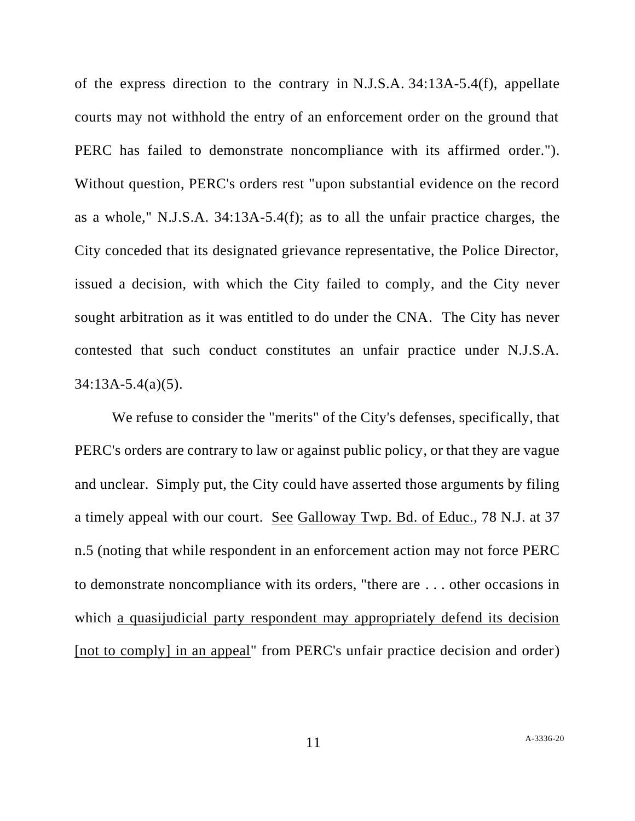of the express direction to the contrary in N.J.S.A. 34:13A-5.4(f), appellate courts may not withhold the entry of an enforcement order on the ground that PERC has failed to demonstrate noncompliance with its affirmed order."). Without question, PERC's orders rest "upon substantial evidence on the record as a whole," N.J.S.A. 34:13A-5.4(f); as to all the unfair practice charges, the City conceded that its designated grievance representative, the Police Director, issued a decision, with which the City failed to comply, and the City never sought arbitration as it was entitled to do under the CNA. The City has never contested that such conduct constitutes an unfair practice under N.J.S.A. 34:13A-5.4(a)(5).

We refuse to consider the "merits" of the City's defenses, specifically, that PERC's orders are contrary to law or against public policy, or that they are vague and unclear. Simply put, the City could have asserted those arguments by filing a timely appeal with our court. See Galloway Twp. Bd. of Educ., 78 N.J. at 37 n.5 (noting that while respondent in an enforcement action may not force PERC to demonstrate noncompliance with its orders, "there are . . . other occasions in which a quasijudicial party respondent may appropriately defend its decision [not to comply] in an appeal" from PERC's unfair practice decision and order)